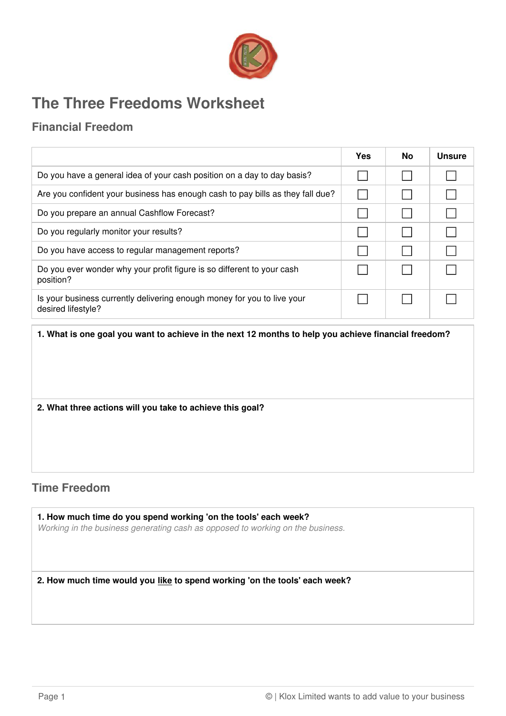

# **The Three Freedoms Worksheet**

## **Financial Freedom**

|                                                                                               | Yes | <b>No</b> | <b>Unsure</b> |
|-----------------------------------------------------------------------------------------------|-----|-----------|---------------|
| Do you have a general idea of your cash position on a day to day basis?                       |     |           |               |
| Are you confident your business has enough cash to pay bills as they fall due?                |     |           |               |
| Do you prepare an annual Cashflow Forecast?                                                   |     |           |               |
| Do you regularly monitor your results?                                                        |     |           |               |
| Do you have access to regular management reports?                                             |     |           |               |
| Do you ever wonder why your profit figure is so different to your cash<br>position?           |     |           |               |
| Is your business currently delivering enough money for you to live your<br>desired lifestyle? |     |           |               |

**1. What is one goal you want to achieve in the next 12 months to help you achieve financial freedom?**

#### **2. What three actions will you take to achieve this goal?**

### **Time Freedom**

**1. How much time do you spend working 'on the tools' each week?** Working in the business generating cash as opposed to working on the business.

**2. How much time would you like to spend working 'on the tools' each week?**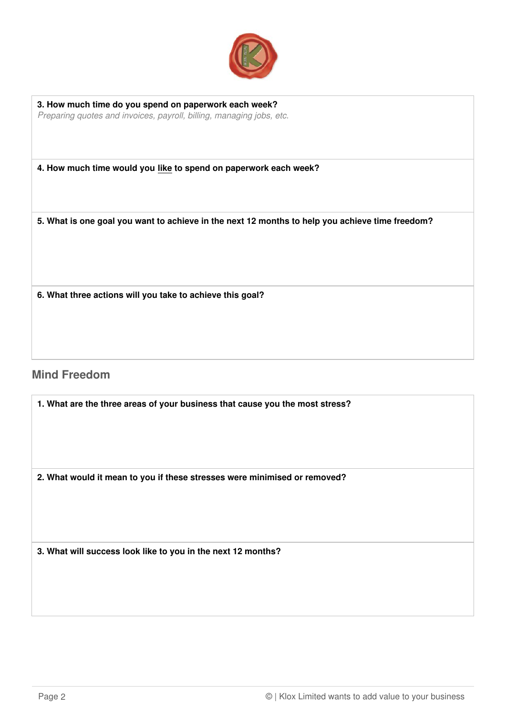

**3. How much time do you spend on paperwork each week?** Preparing quotes and invoices, payroll, billing, managing jobs, etc.

**4. How much time would you like to spend on paperwork each week?**

**5. What is one goal you want to achieve in the next 12 months to help you achieve time freedom?**

**6. What three actions will you take to achieve this goal?**

#### **Mind Freedom**

**1. What are the three areas of your business that cause you the most stress?**

**2. What would it mean to you if these stresses were minimised or removed?**

**3. What will success look like to you in the next 12 months?**